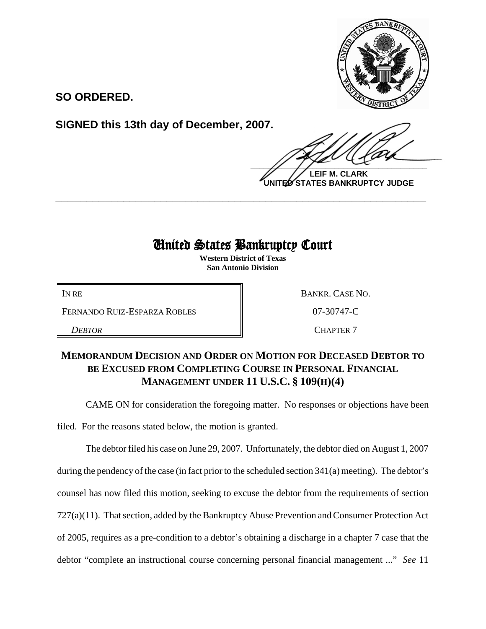

**SO ORDERED.**

**SIGNED this 13th day of December, 2007.**

 $\frac{1}{2}$ 

**LEIF M. CLARK UNITED STATES BANKRUPTCY JUDGE**

## United States Bankruptcy Court

**\_\_\_\_\_\_\_\_\_\_\_\_\_\_\_\_\_\_\_\_\_\_\_\_\_\_\_\_\_\_\_\_\_\_\_\_\_\_\_\_\_\_\_\_\_\_\_\_\_\_\_\_\_\_\_\_\_\_\_\_**

**Western District of Texas San Antonio Division**

FERNANDO RUIZ-ESPARZA ROBLES  $\parallel$  07-30747-C

IN RE BANKR. CASE NO.

**DEBTOR** CHAPTER 7

## **MEMORANDUM DECISION AND ORDER ON MOTION FOR DECEASED DEBTOR TO BE EXCUSED FROM COMPLETING COURSE IN PERSONAL FINANCIAL MANAGEMENT UNDER 11 U.S.C. § 109(H)(4)**

CAME ON for consideration the foregoing matter. No responses or objections have been

filed. For the reasons stated below, the motion is granted.

The debtor filed his case on June 29, 2007. Unfortunately, the debtor died on August 1, 2007 during the pendency of the case (in fact prior to the scheduled section 341(a) meeting). The debtor's counsel has now filed this motion, seeking to excuse the debtor from the requirements of section 727(a)(11). That section, added by the Bankruptcy Abuse Prevention and Consumer Protection Act of 2005, requires as a pre-condition to a debtor's obtaining a discharge in a chapter 7 case that the debtor "complete an instructional course concerning personal financial management ..." *See* 11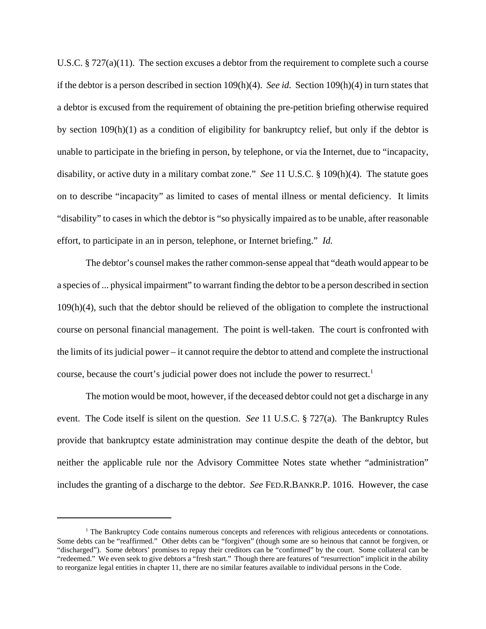U.S.C.  $\S 727(a)(11)$ . The section excuses a debtor from the requirement to complete such a course if the debtor is a person described in section 109(h)(4). *See id.* Section 109(h)(4) in turn states that a debtor is excused from the requirement of obtaining the pre-petition briefing otherwise required by section 109(h)(1) as a condition of eligibility for bankruptcy relief, but only if the debtor is unable to participate in the briefing in person, by telephone, or via the Internet, due to "incapacity, disability, or active duty in a military combat zone." *See* 11 U.S.C. § 109(h)(4). The statute goes on to describe "incapacity" as limited to cases of mental illness or mental deficiency. It limits "disability" to cases in which the debtor is "so physically impaired as to be unable, after reasonable effort, to participate in an in person, telephone, or Internet briefing." *Id.*

The debtor's counsel makes the rather common-sense appeal that "death would appear to be a species of ... physical impairment" to warrant finding the debtor to be a person described in section 109(h)(4), such that the debtor should be relieved of the obligation to complete the instructional course on personal financial management. The point is well-taken. The court is confronted with the limits of its judicial power – it cannot require the debtor to attend and complete the instructional course, because the court's judicial power does not include the power to resurrect.<sup>1</sup>

The motion would be moot, however, if the deceased debtor could not get a discharge in any event. The Code itself is silent on the question. *See* 11 U.S.C. § 727(a). The Bankruptcy Rules provide that bankruptcy estate administration may continue despite the death of the debtor, but neither the applicable rule nor the Advisory Committee Notes state whether "administration" includes the granting of a discharge to the debtor. *See* FED.R.BANKR.P. 1016. However, the case

<sup>&</sup>lt;sup>1</sup> The Bankruptcy Code contains numerous concepts and references with religious antecedents or connotations. Some debts can be "reaffirmed." Other debts can be "forgiven" (though some are so heinous that cannot be forgiven, or "discharged"). Some debtors' promises to repay their creditors can be "confirmed" by the court. Some collateral can be "redeemed." We even seek to give debtors a "fresh start." Though there are features of "resurrection" implicit in the ability to reorganize legal entities in chapter 11, there are no similar features available to individual persons in the Code.